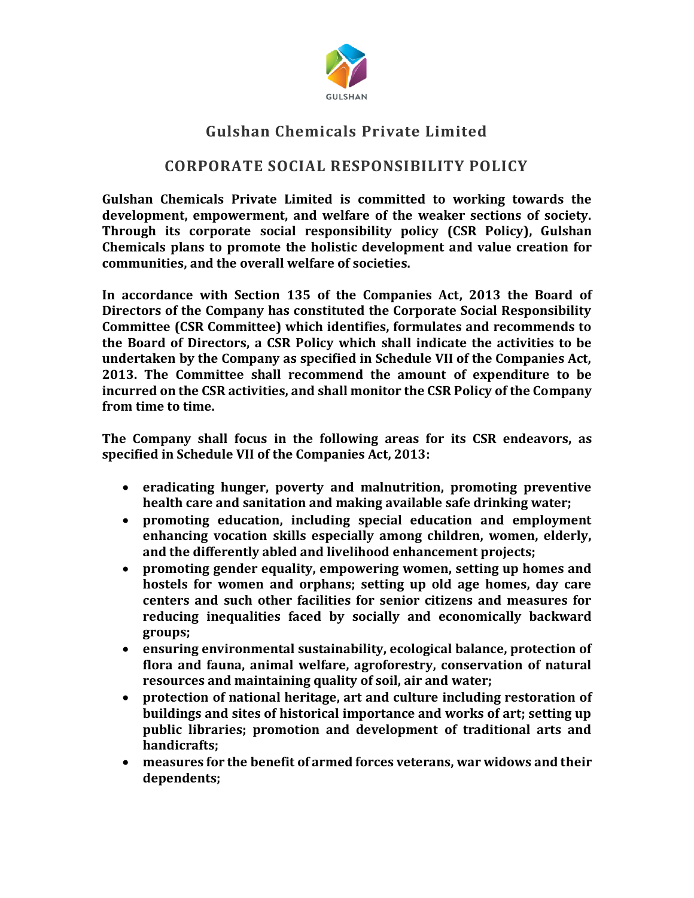

## **Gulshan Chemicals Private Limited**

## **CORPORATE SOCIAL RESPONSIBILITY POLICY**

**Gulshan Chemicals Private Limited is committed to working towards the development, empowerment, and welfare of the weaker sections of society. Through its corporate social responsibility policy (CSR Policy), Gulshan Chemicals plans to promote the holistic development and value creation for communities, and the overall welfare of societies.**

**In accordance with Section 135 of the Companies Act, 2013 the Board of Directors of the Company has constituted the Corporate Social Responsibility Committee (CSR Committee) which identifies, formulates and recommends to the Board of Directors, a CSR Policy which shall indicate the activities to be undertaken by the Company as specified in Schedule VII of the Companies Act, 2013. The Committee shall recommend the amount of expenditure to be incurred on the CSR activities, and shall monitor the CSR Policy of the Company from time to time.**

**The Company shall focus in the following areas for its CSR endeavors, as specified in Schedule VII of the Companies Act, 2013:**

- **eradicating hunger, poverty and malnutrition, promoting preventive health care and sanitation and making available safe drinking water;**
- **promoting education, including special education and employment enhancing vocation skills especially among children, women, elderly, and the differently abled and livelihood enhancement projects;**
- **promoting gender equality, empowering women, setting up homes and hostels for women and orphans; setting up old age homes, day care centers and such other facilities for senior citizens and measures for reducing inequalities faced by socially and economically backward groups;**
- **ensuring environmental sustainability, ecological balance, protection of flora and fauna, animal welfare, agroforestry, conservation of natural resources and maintaining quality of soil, air and water;**
- **protection of national heritage, art and culture including restoration of buildings and sites of historical importance and works of art; setting up public libraries; promotion and development of traditional arts and handicrafts;**
- **measures for the benefit of armed forces veterans, war widows and their dependents;**